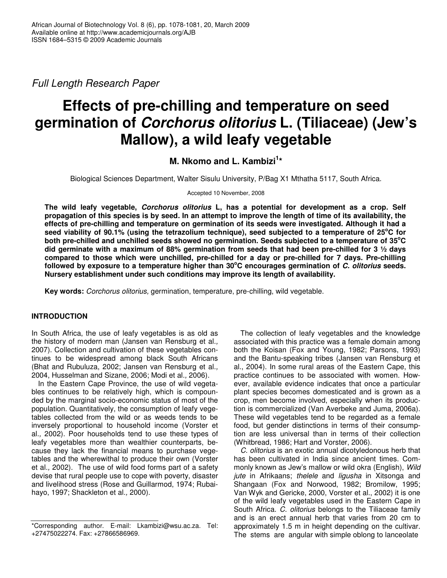*Full Length Research Paper*

# **Effects of pre-chilling and temperature on seed germination of** *Corchorus olitorius* **L. (Tiliaceae) (Jew's Mallow), a wild leafy vegetable**

**M. Nkomo and L. Kambizi 1 \***

Biological Sciences Department, Walter Sisulu University, P/Bag X1 Mthatha 5117, South Africa.

Accepted 10 November, 2008

**The wild leafy vegetable,** *Corchorus olitorius* **L, has a potential for development as a crop. Self** propagation of this species is by seed. In an attempt to improve the length of time of its availability, the **effects of pre-chilling and temperature on germination of its seeds were investigated. Although it had a** seed viability of 90.1% (using the tetrazolium technique), seed subjected to a temperature of 25°C for **both pre-chilled and unchilled seeds showed no germination. Seeds subjected to a temperature of 35 oC did germinate with a maximum of 88% germination from seeds that had been pre-chilled for 3 ½ days compared to those which were unchilled, pre-chilled for a day or pre-chilled for 7 days. Pre-chilling followed by exposure to a temperature higher than 30 <sup>o</sup>C encourages germination of** *C. olitorius* **seeds. Nursery establishment under such conditions may improve its length of availability.**

**Key words:** *Corchorus olitorius,* germination, temperature, pre-chilling, wild vegetable.

# **INTRODUCTION**

In South Africa, the use of leafy vegetables is as old as the history of modern man (Jansen van Rensburg et al*.,* 2007). Collection and cultivation of these vegetables continues to be widespread among black South Africans (Bhat and Rubuluza, 2002; Jansen van Rensburg et al*.,* 2004, Husselman and Sizane, 2006; Modi et al*.,* 2006).

In the Eastern Cape Province, the use of wild vegetables continues to be relatively high, which is compounded by the marginal socio-economic status of most of the population. Quantitatively, the consumption of leafy vegetables collected from the wild or as weeds tends to be inversely proportional to household income (Vorster et al*.,* 2002). Poor households tend to use these types of leafy vegetables more than wealthier counterparts, because they lack the financial means to purchase vegetables and the wherewithal to produce their own (Vorster et al*.,* 2002). The use of wild food forms part of a safety devise that rural people use to cope with poverty, disaster and livelihood stress (Rose and Guillarmod, 1974; Rubaihayo, 1997; Shackleton et al*.,* 2000).

The collection of leafy vegetables and the knowledge associated with this practice was a female domain among both the Koisan (Fox and Young, 1982; Parsons, 1993) and the Bantu-speaking tribes (Jansen van Rensburg et al., 2004). In some rural areas of the Eastern Cape, this practice continues to be associated with women. However, available evidence indicates that once a particular plant species becomes domesticated and is grown as a crop, men become involved, especially when its production is commercialized (Van Averbeke and Juma, 2006a). These wild vegetables tend to be regarded as a female food, but gender distinctions in terms of their consumption are less universal than in terms of their collection (Whitbread, 1986; Hart and Vorster, 2006).

*C. olitorius* is an exotic annual dicotyledonous herb that has been cultivated in India since ancient times. Commonly known as Jew's mallow or wild okra (English), *Wild jute* in Afrikaans; *thelele* and *ligusha* in Xitsonga and Shangaan (Fox and Norwood, 1982; Bromilow, 1995; Van Wyk and Gericke, 2000, Vorster et al., 2002) it is one of the wild leafy vegetables used in the Eastern Cape in South Africa. *C. olitorius* belongs to the Tiliaceae family and is an erect annual herb that varies from 20 cm to approximately 1.5 m in height depending on the cultivar. The stems are angular with simple oblong to lanceolate

<sup>\*</sup>Corresponding author. E-mail: Lkambizi@wsu.ac.za. Tel: +27475022274. Fax: +27866586969.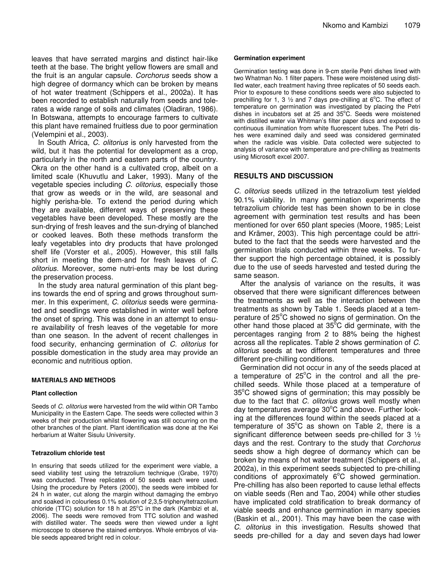leaves that have serrated margins and distinct hair-like teeth at the base. The bright yellow flowers are small and the fruit is an angular capsule. *Corchorus* seeds show a high degree of dormancy which can be broken by means of hot water treatment (Schippers et al., 2002a). It has been recorded to establish naturally from seeds and tolerates a wide range of soils and climates (Oladiran, 1986). In Botswana, attempts to encourage farmers to cultivate this plant have remained fruitless due to poor germination (Velempini et al*.,* 2003).

In South Africa, *C. olitorius* is only harvested from the wild, but it has the potential for development as a crop, particularly in the north and eastern parts of the country. Okra on the other hand is a cultivated crop, albeit on a limited scale (Khuvutlu and Laker, 1993). Many of the vegetable species including *C. olitorius*, especially those that grow as weeds or in the wild, are seasonal and highly perisha-ble. To extend the period during which they are available, different ways of preserving these vegetables have been developed. These mostly are the sun-drying of fresh leaves and the sun-drying of blanched or cooked leaves. Both these methods transform the leafy vegetables into dry products that have prolonged shelf life (Vorster et al., 2005). However, this still falls short in meeting the dem-and for fresh leaves of *C. olitorius.* Moreover, some nutri-ents may be lost during the preservation process.

In the study area natural germination of this plant begins towards the end of spring and grows throughout summer. In this experiment, *C. olitorius* seeds were germinated and seedlings were established in winter well before the onset of spring. This was done in an attempt to ensure availability of fresh leaves of the vegetable for more than one season. In the advent of recent challenges in food security, enhancing germination of *C. olitorius* for possible domestication in the study area may provide an economic and nutritious option.

### **MATERIALS AND METHODS**

#### **Plant collection**

Seeds of *C. olitorius* were harvested from the wild within OR Tambo Municipality in the Eastern Cape. The seeds were collected within 3 weeks of their production whilst flowering was still occurring on the other branches of the plant. Plant identification was done at the Kei herbarium at Walter Sisulu University.

#### **Tetrazolium chloride test**

In ensuring that seeds utilized for the experiment were viable, a seed viability test using the tetrazolium technique (Grabe, 1970) was conducted. Three replicates of 50 seeds each were used. Using the procedure by Peters (2000), the seeds were imbibed for 24 h in water, cut along the margin without damaging the embryo and soaked in colourless 0.1% solution of 2,3,5-triphenyltetrazolium chloride (TTC) solution for 18 h at  $25^{\circ}$ C in the dark (Kambizi et al, 2006). The seeds were removed from TTC solution and washed with distilled water. The seeds were then viewed under a light microscope to observe the stained embryos. Whole embryos of viable seeds appeared bright red in colour.

#### **Germination experiment**

Germination testing was done in 9-cm sterile Petri dishes lined with two Whatman No. 1 filter papers. These were moistened using distilled water, each treatment having three replicates of 50 seeds each. Prior to exposure to these conditions seeds were also subjected to prechilling for 1, 3  $\frac{1}{2}$  and 7 days pre-chilling at 6°C. The effect of temperature on germination was investigated by placing the Petri dishes in incubators set at 25 and 35°C. Seeds were moistened with distilled water via Whitman's filter paper discs and exposed to continuous illumination from white fluorescent tubes. The Petri dishes were examined daily and seed was considered germinated when the radicle was visible. Data collected were subjected to analysis of variance with temperature and pre-chilling as treatments using Microsoft excel 2007.

## **RESULTS AND DISCUSSION**

*C. olitorius* seeds utilized in the tetrazolium test yielded 90.1% viability. In many germination experiments the tetrazolium chloride test has been shown to be in close agreement with germination test results and has been mentioned for over 650 plant species (Moore, 1985; Leist and Krämer, 2003). This high percentage could be attributed to the fact that the seeds were harvested and the germination trials conducted within three weeks. To further support the high percentage obtained, it is possibly due to the use of seeds harvested and tested during the same season.

After the analysis of variance on the results, it was observed that there were significant differences between the treatments as well as the interaction between the treatments as shown by Table 1. Seeds placed at a temperature of 25°C showed no signs of germination. On the other hand those placed at 35°C did germinate, with the percentages ranging from 2 to 88% being the highest across all the replicates. Table 2 shows germination of *C. olitorius* seeds at two different temperatures and three different pre-chilling conditions.

Germination did not occur in any of the seeds placed at a temperature of 25°C in the control and all the prechilled seeds. While those placed at a temperature of 35°C showed signs of germination; this may possibly be due to the fact that *C. olitorius* grows well mostly when day temperatures average 30°C and above. Further looking at the differences found within the seeds placed at a temperature of 35°C as shown on Table 2, there is a significant difference between seeds pre-chilled for 3 ½ days and the rest. Contrary to the study that *Corchorus* seeds show a high degree of dormancy which can be broken by means of hot water treatment (Schippers et al., 2002a), in this experiment seeds subjected to pre-chilling conditions of approximately  $6^{\circ}$ C showed germination. Pre-chilling has also been reported to cause lethal effects on viable seeds (Ren and Tao, 2004) while other studies have implicated cold stratification to break dormancy of viable seeds and enhance germination in many species (Baskin et al., 2001). This may have been the case with *C*. *olitorius* in this investigation. Results showed that seeds pre-chilled for a day and seven days had lower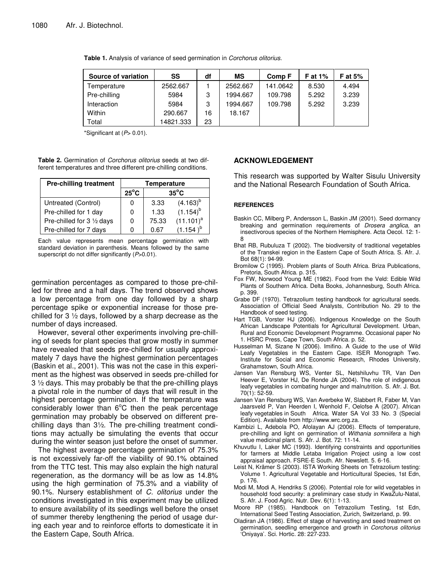| Source of variation | SS        | df | ΜS       | Comp F   | <b>F</b> at 1% | F at $5%$ |
|---------------------|-----------|----|----------|----------|----------------|-----------|
| Temperature         | 2562.667  |    | 2562.667 | 141.0642 | 8.530          | 4.494     |
| Pre-chilling        | 5984      | 3  | 1994.667 | 109.798  | 5.292          | 3.239     |
| Interaction         | 5984      | 3  | 1994.667 | 109.798  | 5.292          | 3.239     |
| Within              | 290.667   | 16 | 18.167   |          |                |           |
| Total               | 14821.333 | 23 |          |          |                |           |

**Table 1.** Analysis of variance of seed germination in *Corchorus olitorius.*

\*Significant at (*P*> 0.01).

**Table 2.** Germination of *Corchorus olitorius* seeds at two different temperatures and three different pre-chilling conditions.

| <b>Pre-chilling treatment</b> | <b>Temperature</b> |                |               |  |
|-------------------------------|--------------------|----------------|---------------|--|
|                               | $25^{\circ}$ C     | $35^{\circ}$ C |               |  |
| Untreated (Control)           | 0                  | 3.33           | $(4.163)^{b}$ |  |
| Pre-chilled for 1 day         | 0                  | 1.33           | $(1.154)^{b}$ |  |
| Pre-chilled for 3 1/2 days    | 0                  | 75.33          | $(11.101)^a$  |  |
| Pre-chilled for 7 days        |                    | 0.67           | 1.154         |  |

Each value represents mean percentage germination with standard deviation in parenthesis. Means followed by the same superscript do not differ significantly (*P*>0.01).

germination percentages as compared to those pre-chilled for three and a half days. The trend observed shows a low percentage from one day followed by a sharp percentage spike or exponential increase for those prechilled for 3  $\frac{1}{2}$  days, followed by a sharp decrease as the number of days increased.

However, several other experiments involving pre-chilling of seeds for plant species that grow mostly in summer have revealed that seeds pre-chilled for usually approximately 7 days have the highest germination percentages (Baskin et al*.*, 2001). This was not the case in this experiment as the highest was observed in seeds pre-chilled for 3 ½ days. This may probably be that the pre-chilling plays a pivotal role in the number of days that will result in the highest percentage germination. If the temperature was considerably lower than 6°C then the peak percentage germination may probably be observed on different prechilling days than 3½. The pre-chilling treatment conditions may actually be simulating the events that occur during the winter season just before the onset of summer.

The highest average percentage germination of 75.3% is not excessively far-off the viability of 90.1% obtained from the TTC test. This may also explain the high natural regeneration, as the dormancy will be as low as 14.8% using the high germination of 75.3% and a viability of 90.1%. Nursery establishment of *C. olitorius* under the conditions investigated in this experiment may be utilized to ensure availability of its seedlings well before the onset of summer thereby lengthening the period of usage during each year and to reinforce efforts to domesticate it in the Eastern Cape, South Africa.

# **ACKNOWLEDGEMENT**

This research was supported by Walter Sisulu University and the National Research Foundation of South Africa.

#### **REFERENCES**

- Baskin CC, Milberg P, Andersson L, Baskin JM (2001). Seed dormancy breaking and germination requirements of *Drosera anglica*, an insectivorous species of the Northern Hemisphere. Acta Oecol. 12: 1- 8
- Bhat RB, Rubuluza T (2002). The biodiversity of traditional vegetables of the Transkei region in the Eastern Cape of South Africa. S. Afr. J. Bot 68(1): 94-99.
- Bromilow C (1995). Problem plants of South Africa. Briza Publications, Pretoria, South Africa. p. 315.
- Fox FW, Norwood Young ME (1982). Food from the Veld: Edible Wild Plants of Southern Africa. Delta Books, Johannesburg, South Africa. p. 399.
- Grabe DF (1970). Tetrazolium testing handbook for agricultural seeds. Association of Official Seed Analysts, Contribution No. 29 to the Handbook of seed testing.
- Hart TGB, Vorster HJ (2006). Indigenous Knowledge on the South African Landscape Potentials for Agricultural Development. Urban, Rural and Economic Development Programme. Occasional paper No 1. HSRC Press, Cape Town, South Africa. p. 52.
- Husselman M, Sizane N (2006). Imifino. A Guide to the use of Wild Leafy Vegetables in the Eastern Cape. ISER Monograph Two. Institute for Social and Economic Research, Rhodes University, Grahamstown, South Africa.
- Jansen Van Rensburg WS, Venter SL, Netshiluvhu TR, Van Den Heever E, Vorster HJ, De Ronde JA (2004). The role of indigenous leafy vegetables in combating hunger and malnutrition. S. Afr. J. Bot. 70(1): 52-59.
- Jansen Van Rensburg WS, Van Averbeke W, Slabbert R, Faber M, Van Jaarsveld P, Van Heerden I, Wenhold F, Oelofse A (2007). African leafy vegetables in South Africa. Water SA Vol 33 No. 3 (Special Edition). Available from http://www.wrc.org.za.
- Kambizi L, Adebola PO, Afolayan AJ (2006). Effects of temperature, pre-chilling and light on germination of *Withania somniifera* a high value medicinal plant. S. Afr. J. Bot. 72: 11-14.
- Khuvutlu I, Laker MC (1993). Identifying constraints and opportunities for farmers at Middle Letaba Irrigation Project using a low cost appraisal approach. FSRE-E South. Afr. Newslett. 5. 6-16.
- Leist N, Krämer S (2003). ISTA Working Sheets on Tetrazolium testing: Volume 1. Agricultural Vegetable and Horticultural Species, 1st Edn, p. 176.
- Modi M, Modi A, Hendriks S (2006). Potential role for wild vegetables in household food security: a preliminary case study in KwaZulu-Natal, S. Afr. J. Food Agric. Nutr. Dev. 6(1): 1-13.
- Moore RP (1985). Handbook on Tetrazolium Testing, 1st Edn, International Seed Testing Association, Zurich, Switzerland, p. 99.
- Oladiran JA (1986). Effect of stage of harvesting and seed treatment on germination, seedling emergence and growth in *Corchorus olitorius* 'Oniyaya'. Sci. Hortic. 28: 227-233.